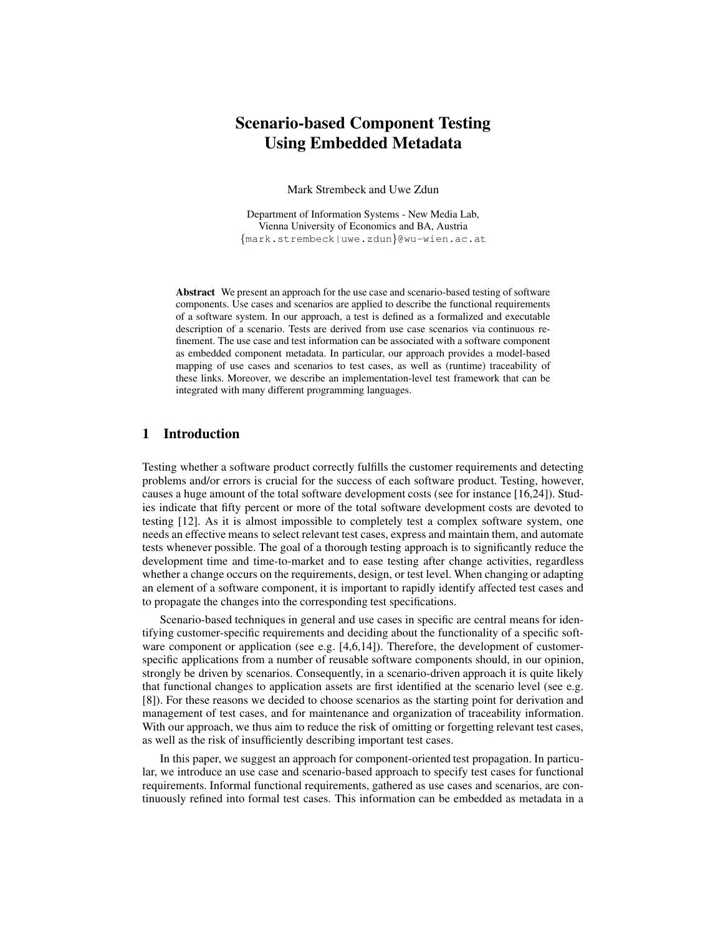# **Scenario-based Component Testing Using Embedded Metadata**

Mark Strembeck and Uwe Zdun

Department of Information Systems - New Media Lab, Vienna University of Economics and BA, Austria {mark.strembeck|uwe.zdun}@wu-wien.ac.at

**Abstract** We present an approach for the use case and scenario-based testing of software components. Use cases and scenarios are applied to describe the functional requirements of a software system. In our approach, a test is defined as a formalized and executable description of a scenario. Tests are derived from use case scenarios via continuous refinement. The use case and test information can be associated with a software component as embedded component metadata. In particular, our approach provides a model-based mapping of use cases and scenarios to test cases, as well as (runtime) traceability of these links. Moreover, we describe an implementation-level test framework that can be integrated with many different programming languages.

### **1 Introduction**

Testing whether a software product correctly fulfills the customer requirements and detecting problems and/or errors is crucial for the success of each software product. Testing, however, causes a huge amount of the total software development costs (see for instance [16,24]). Studies indicate that fifty percent or more of the total software development costs are devoted to testing [12]. As it is almost impossible to completely test a complex software system, one needs an effective means to select relevant test cases, express and maintain them, and automate tests whenever possible. The goal of a thorough testing approach is to significantly reduce the development time and time-to-market and to ease testing after change activities, regardless whether a change occurs on the requirements, design, or test level. When changing or adapting an element of a software component, it is important to rapidly identify affected test cases and to propagate the changes into the corresponding test specifications.

Scenario-based techniques in general and use cases in specific are central means for identifying customer-specific requirements and deciding about the functionality of a specific software component or application (see e.g. [4,6,14]). Therefore, the development of customerspecific applications from a number of reusable software components should, in our opinion, strongly be driven by scenarios. Consequently, in a scenario-driven approach it is quite likely that functional changes to application assets are first identified at the scenario level (see e.g. [8]). For these reasons we decided to choose scenarios as the starting point for derivation and management of test cases, and for maintenance and organization of traceability information. With our approach, we thus aim to reduce the risk of omitting or forgetting relevant test cases, as well as the risk of insufficiently describing important test cases.

In this paper, we suggest an approach for component-oriented test propagation. In particular, we introduce an use case and scenario-based approach to specify test cases for functional requirements. Informal functional requirements, gathered as use cases and scenarios, are continuously refined into formal test cases. This information can be embedded as metadata in a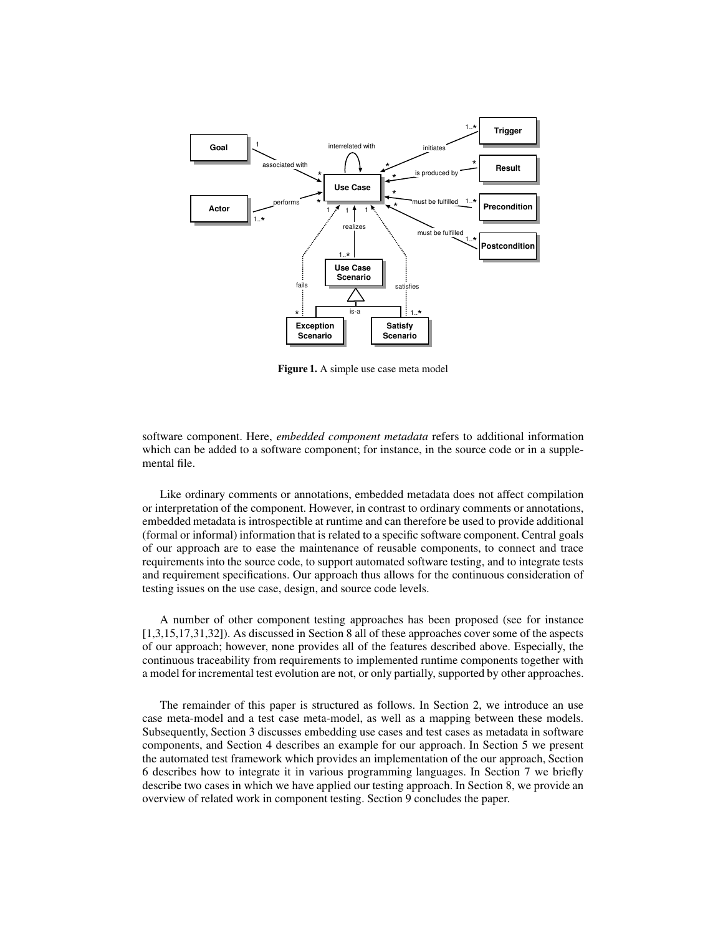

**Figure 1.** A simple use case meta model

software component. Here, *embedded component metadata* refers to additional information which can be added to a software component; for instance, in the source code or in a supplemental file.

Like ordinary comments or annotations, embedded metadata does not affect compilation or interpretation of the component. However, in contrast to ordinary comments or annotations, embedded metadata is introspectible at runtime and can therefore be used to provide additional (formal or informal) information that is related to a specific software component. Central goals of our approach are to ease the maintenance of reusable components, to connect and trace requirements into the source code, to support automated software testing, and to integrate tests and requirement specifications. Our approach thus allows for the continuous consideration of testing issues on the use case, design, and source code levels.

A number of other component testing approaches has been proposed (see for instance [1,3,15,17,31,32]). As discussed in Section 8 all of these approaches cover some of the aspects of our approach; however, none provides all of the features described above. Especially, the continuous traceability from requirements to implemented runtime components together with a model for incremental test evolution are not, or only partially, supported by other approaches.

The remainder of this paper is structured as follows. In Section 2, we introduce an use case meta-model and a test case meta-model, as well as a mapping between these models. Subsequently, Section 3 discusses embedding use cases and test cases as metadata in software components, and Section 4 describes an example for our approach. In Section 5 we present the automated test framework which provides an implementation of the our approach, Section 6 describes how to integrate it in various programming languages. In Section 7 we briefly describe two cases in which we have applied our testing approach. In Section 8, we provide an overview of related work in component testing. Section 9 concludes the paper.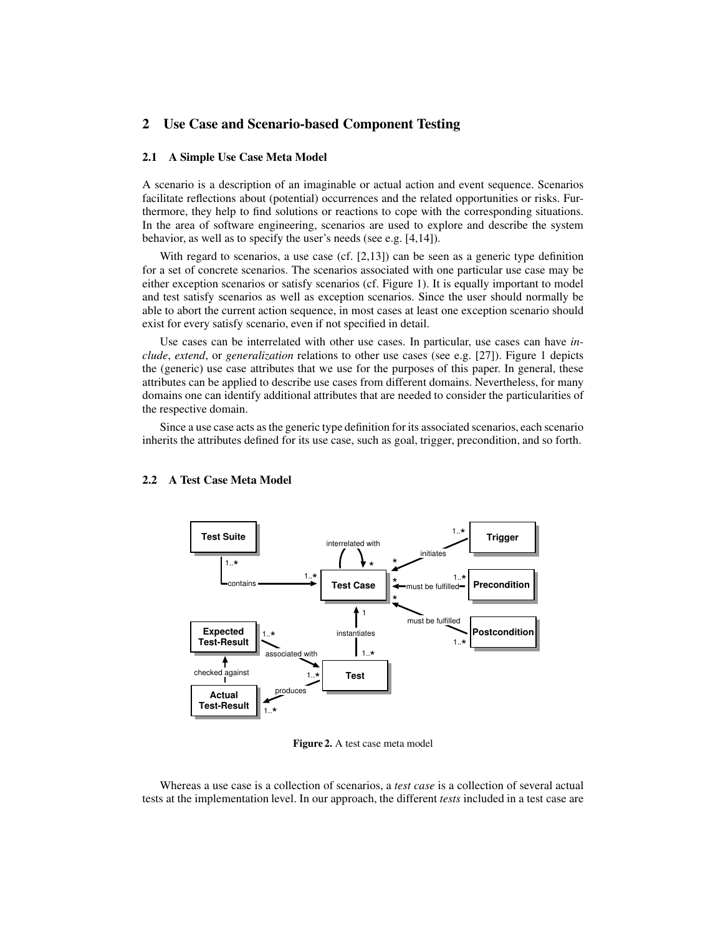# **2 Use Case and Scenario-based Component Testing**

#### **2.1 A Simple Use Case Meta Model**

A scenario is a description of an imaginable or actual action and event sequence. Scenarios facilitate reflections about (potential) occurrences and the related opportunities or risks. Furthermore, they help to find solutions or reactions to cope with the corresponding situations. In the area of software engineering, scenarios are used to explore and describe the system behavior, as well as to specify the user's needs (see e.g. [4,14]).

With regard to scenarios, a use case  $(cf. [2,13])$  can be seen as a generic type definition for a set of concrete scenarios. The scenarios associated with one particular use case may be either exception scenarios or satisfy scenarios (cf. Figure 1). It is equally important to model and test satisfy scenarios as well as exception scenarios. Since the user should normally be able to abort the current action sequence, in most cases at least one exception scenario should exist for every satisfy scenario, even if not specified in detail.

Use cases can be interrelated with other use cases. In particular, use cases can have *include*, *extend*, or *generalization* relations to other use cases (see e.g. [27]). Figure 1 depicts the (generic) use case attributes that we use for the purposes of this paper. In general, these attributes can be applied to describe use cases from different domains. Nevertheless, for many domains one can identify additional attributes that are needed to consider the particularities of the respective domain.

Since a use case acts as the generic type definition for its associated scenarios, each scenario inherits the attributes defined for its use case, such as goal, trigger, precondition, and so forth.



### **2.2 A Test Case Meta Model**

**Figure 2.** A test case meta model

Whereas a use case is a collection of scenarios, a *test case* is a collection of several actual tests at the implementation level. In our approach, the different *tests* included in a test case are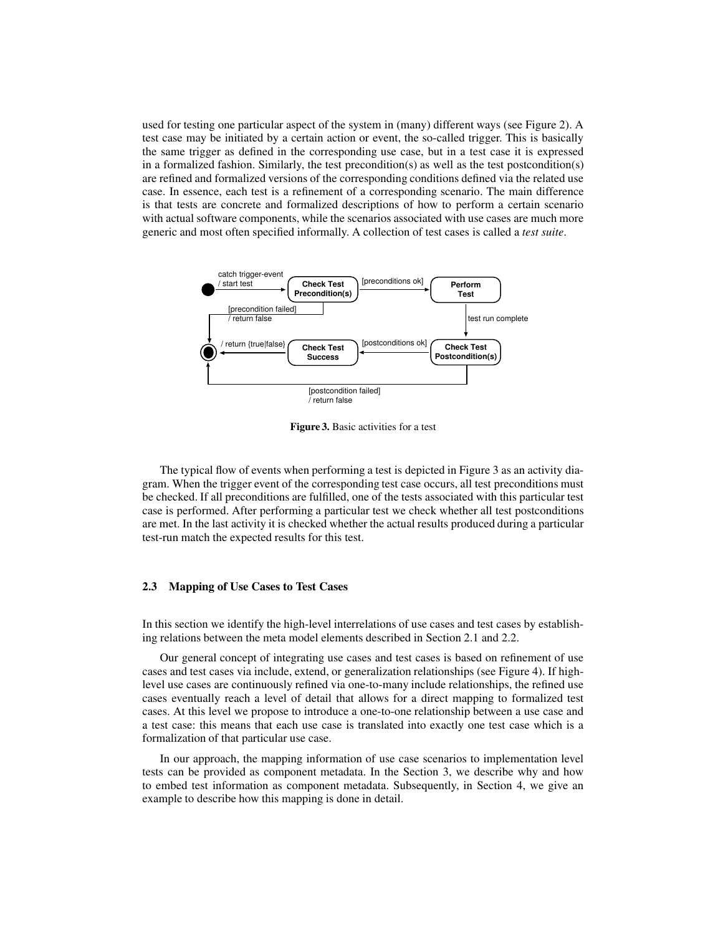used for testing one particular aspect of the system in (many) different ways (see Figure 2). A test case may be initiated by a certain action or event, the so-called trigger. This is basically the same trigger as defined in the corresponding use case, but in a test case it is expressed in a formalized fashion. Similarly, the test precondition(s) as well as the test postcondition(s) are refined and formalized versions of the corresponding conditions defined via the related use case. In essence, each test is a refinement of a corresponding scenario. The main difference is that tests are concrete and formalized descriptions of how to perform a certain scenario with actual software components, while the scenarios associated with use cases are much more generic and most often specified informally. A collection of test cases is called a *test suite*.



**Figure 3.** Basic activities for a test

The typical flow of events when performing a test is depicted in Figure 3 as an activity diagram. When the trigger event of the corresponding test case occurs, all test preconditions must be checked. If all preconditions are fulfilled, one of the tests associated with this particular test case is performed. After performing a particular test we check whether all test postconditions are met. In the last activity it is checked whether the actual results produced during a particular test-run match the expected results for this test.

#### **2.3 Mapping of Use Cases to Test Cases**

In this section we identify the high-level interrelations of use cases and test cases by establishing relations between the meta model elements described in Section 2.1 and 2.2.

Our general concept of integrating use cases and test cases is based on refinement of use cases and test cases via include, extend, or generalization relationships (see Figure 4). If highlevel use cases are continuously refined via one-to-many include relationships, the refined use cases eventually reach a level of detail that allows for a direct mapping to formalized test cases. At this level we propose to introduce a one-to-one relationship between a use case and a test case: this means that each use case is translated into exactly one test case which is a formalization of that particular use case.

In our approach, the mapping information of use case scenarios to implementation level tests can be provided as component metadata. In the Section 3, we describe why and how to embed test information as component metadata. Subsequently, in Section 4, we give an example to describe how this mapping is done in detail.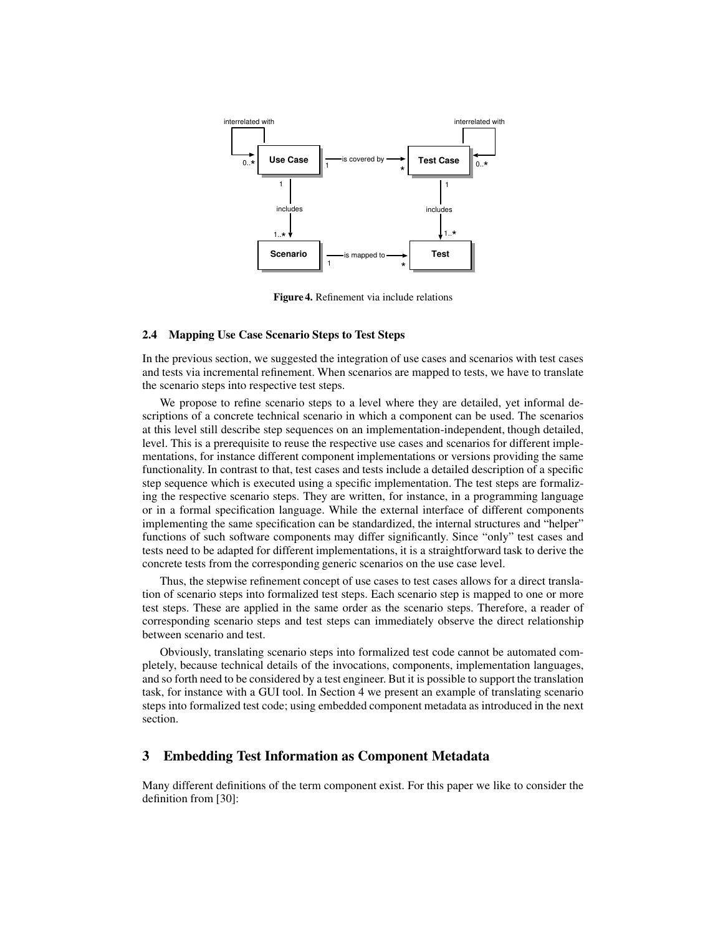

**Figure 4.** Refinement via include relations

#### **2.4 Mapping Use Case Scenario Steps to Test Steps**

In the previous section, we suggested the integration of use cases and scenarios with test cases and tests via incremental refinement. When scenarios are mapped to tests, we have to translate the scenario steps into respective test steps.

We propose to refine scenario steps to a level where they are detailed, yet informal descriptions of a concrete technical scenario in which a component can be used. The scenarios at this level still describe step sequences on an implementation-independent, though detailed, level. This is a prerequisite to reuse the respective use cases and scenarios for different implementations, for instance different component implementations or versions providing the same functionality. In contrast to that, test cases and tests include a detailed description of a specific step sequence which is executed using a specific implementation. The test steps are formalizing the respective scenario steps. They are written, for instance, in a programming language or in a formal specification language. While the external interface of different components implementing the same specification can be standardized, the internal structures and "helper" functions of such software components may differ significantly. Since "only" test cases and tests need to be adapted for different implementations, it is a straightforward task to derive the concrete tests from the corresponding generic scenarios on the use case level.

Thus, the stepwise refinement concept of use cases to test cases allows for a direct translation of scenario steps into formalized test steps. Each scenario step is mapped to one or more test steps. These are applied in the same order as the scenario steps. Therefore, a reader of corresponding scenario steps and test steps can immediately observe the direct relationship between scenario and test.

Obviously, translating scenario steps into formalized test code cannot be automated completely, because technical details of the invocations, components, implementation languages, and so forth need to be considered by a test engineer. But it is possible to support the translation task, for instance with a GUI tool. In Section 4 we present an example of translating scenario steps into formalized test code; using embedded component metadata as introduced in the next section.

### **3 Embedding Test Information as Component Metadata**

Many different definitions of the term component exist. For this paper we like to consider the definition from [30]: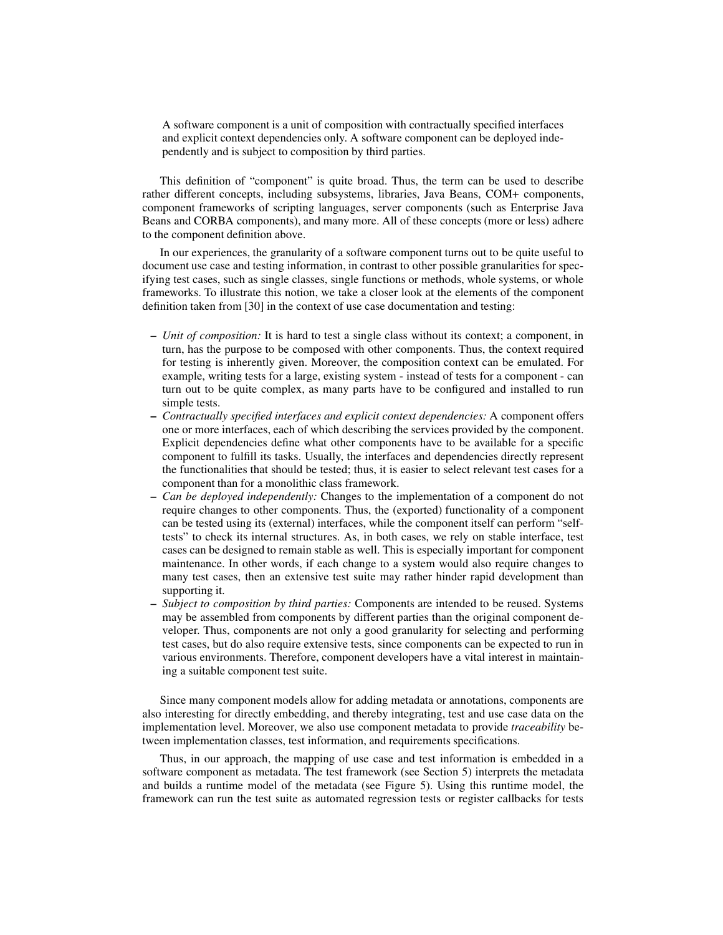A software component is a unit of composition with contractually specified interfaces and explicit context dependencies only. A software component can be deployed independently and is subject to composition by third parties.

This definition of "component" is quite broad. Thus, the term can be used to describe rather different concepts, including subsystems, libraries, Java Beans, COM+ components, component frameworks of scripting languages, server components (such as Enterprise Java Beans and CORBA components), and many more. All of these concepts (more or less) adhere to the component definition above.

In our experiences, the granularity of a software component turns out to be quite useful to document use case and testing information, in contrast to other possible granularities for specifying test cases, such as single classes, single functions or methods, whole systems, or whole frameworks. To illustrate this notion, we take a closer look at the elements of the component definition taken from [30] in the context of use case documentation and testing:

- **–** *Unit of composition:* It is hard to test a single class without its context; a component, in turn, has the purpose to be composed with other components. Thus, the context required for testing is inherently given. Moreover, the composition context can be emulated. For example, writing tests for a large, existing system - instead of tests for a component - can turn out to be quite complex, as many parts have to be configured and installed to run simple tests.
- **–** *Contractually specified interfaces and explicit context dependencies:* A component offers one or more interfaces, each of which describing the services provided by the component. Explicit dependencies define what other components have to be available for a specific component to fulfill its tasks. Usually, the interfaces and dependencies directly represent the functionalities that should be tested; thus, it is easier to select relevant test cases for a component than for a monolithic class framework.
- **–** *Can be deployed independently:* Changes to the implementation of a component do not require changes to other components. Thus, the (exported) functionality of a component can be tested using its (external) interfaces, while the component itself can perform "selftests" to check its internal structures. As, in both cases, we rely on stable interface, test cases can be designed to remain stable as well. This is especially important for component maintenance. In other words, if each change to a system would also require changes to many test cases, then an extensive test suite may rather hinder rapid development than supporting it.
- **–** *Subject to composition by third parties:* Components are intended to be reused. Systems may be assembled from components by different parties than the original component developer. Thus, components are not only a good granularity for selecting and performing test cases, but do also require extensive tests, since components can be expected to run in various environments. Therefore, component developers have a vital interest in maintaining a suitable component test suite.

Since many component models allow for adding metadata or annotations, components are also interesting for directly embedding, and thereby integrating, test and use case data on the implementation level. Moreover, we also use component metadata to provide *traceability* between implementation classes, test information, and requirements specifications.

Thus, in our approach, the mapping of use case and test information is embedded in a software component as metadata. The test framework (see Section 5) interprets the metadata and builds a runtime model of the metadata (see Figure 5). Using this runtime model, the framework can run the test suite as automated regression tests or register callbacks for tests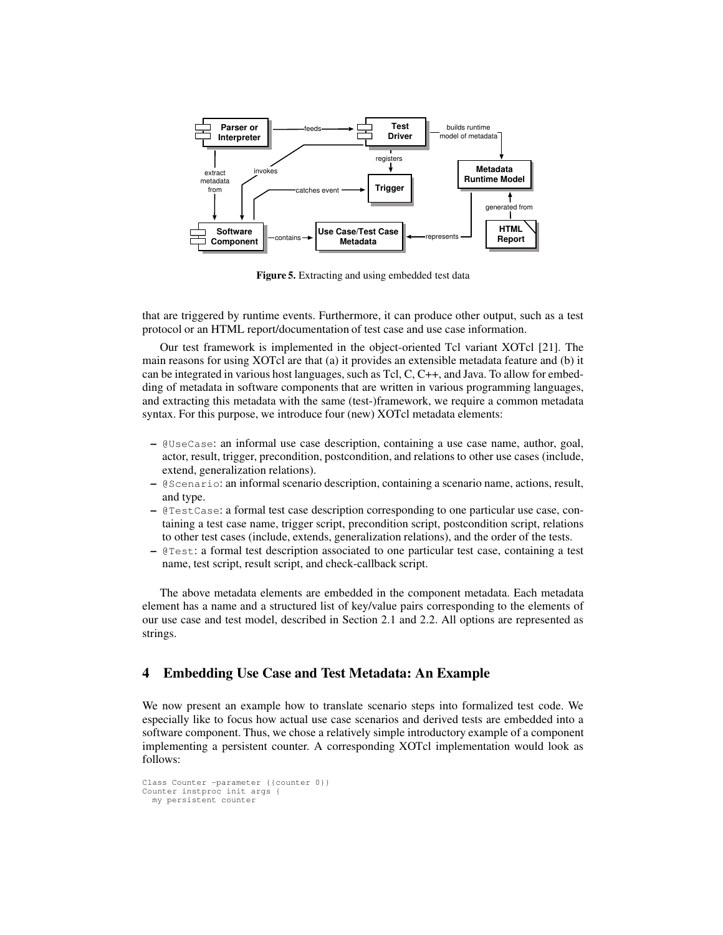

**Figure 5.** Extracting and using embedded test data

that are triggered by runtime events. Furthermore, it can produce other output, such as a test protocol or an HTML report/documentation of test case and use case information.

Our test framework is implemented in the object-oriented Tcl variant XOTcl [21]. The main reasons for using XOTcl are that (a) it provides an extensible metadata feature and (b) it can be integrated in various host languages, such as Tcl, C,  $C_{++}$ , and Java. To allow for embedding of metadata in software components that are written in various programming languages, and extracting this metadata with the same (test-)framework, we require a common metadata syntax. For this purpose, we introduce four (new) XOTcl metadata elements:

- **–** @UseCase: an informal use case description, containing a use case name, author, goal, actor, result, trigger, precondition, postcondition, and relations to other use cases (include, extend, generalization relations).
- **–** @Scenario: an informal scenario description, containing a scenario name, actions, result, and type.
- **–** @TestCase: a formal test case description corresponding to one particular use case, containing a test case name, trigger script, precondition script, postcondition script, relations to other test cases (include, extends, generalization relations), and the order of the tests.
- **–** @Test: a formal test description associated to one particular test case, containing a test name, test script, result script, and check-callback script.

The above metadata elements are embedded in the component metadata. Each metadata element has a name and a structured list of key/value pairs corresponding to the elements of our use case and test model, described in Section 2.1 and 2.2. All options are represented as strings.

# **4 Embedding Use Case and Test Metadata: An Example**

We now present an example how to translate scenario steps into formalized test code. We especially like to focus how actual use case scenarios and derived tests are embedded into a software component. Thus, we chose a relatively simple introductory example of a component implementing a persistent counter. A corresponding XOTcl implementation would look as follows:

```
Class Counter -parameter {{counter 0}}
Counter instproc init args {
 my persistent counter
```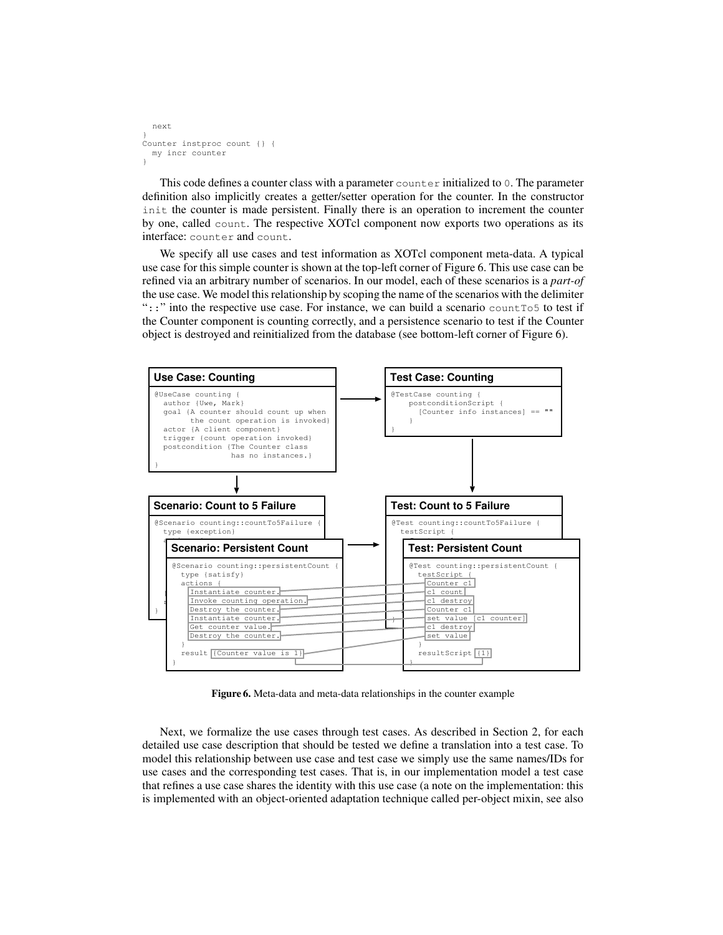```
next
}
Counter instproc count {} {
 my incr counter
}
```
This code defines a counter class with a parameter counter initialized to 0. The parameter definition also implicitly creates a getter/setter operation for the counter. In the constructor init the counter is made persistent. Finally there is an operation to increment the counter by one, called count. The respective XOTcl component now exports two operations as its interface: counter and count.

We specify all use cases and test information as XOTcl component meta-data. A typical use case for this simple counter is shown at the top-left corner of Figure 6. This use case can be refined via an arbitrary number of scenarios. In our model, each of these scenarios is a *part-of* the use case. We model this relationship by scoping the name of the scenarios with the delimiter "::" into the respective use case. For instance, we can build a scenario countTo5 to test if the Counter component is counting correctly, and a persistence scenario to test if the Counter object is destroyed and reinitialized from the database (see bottom-left corner of Figure 6).



**Figure 6.** Meta-data and meta-data relationships in the counter example

Next, we formalize the use cases through test cases. As described in Section 2, for each detailed use case description that should be tested we define a translation into a test case. To model this relationship between use case and test case we simply use the same names/IDs for use cases and the corresponding test cases. That is, in our implementation model a test case that refines a use case shares the identity with this use case (a note on the implementation: this is implemented with an object-oriented adaptation technique called per-object mixin, see also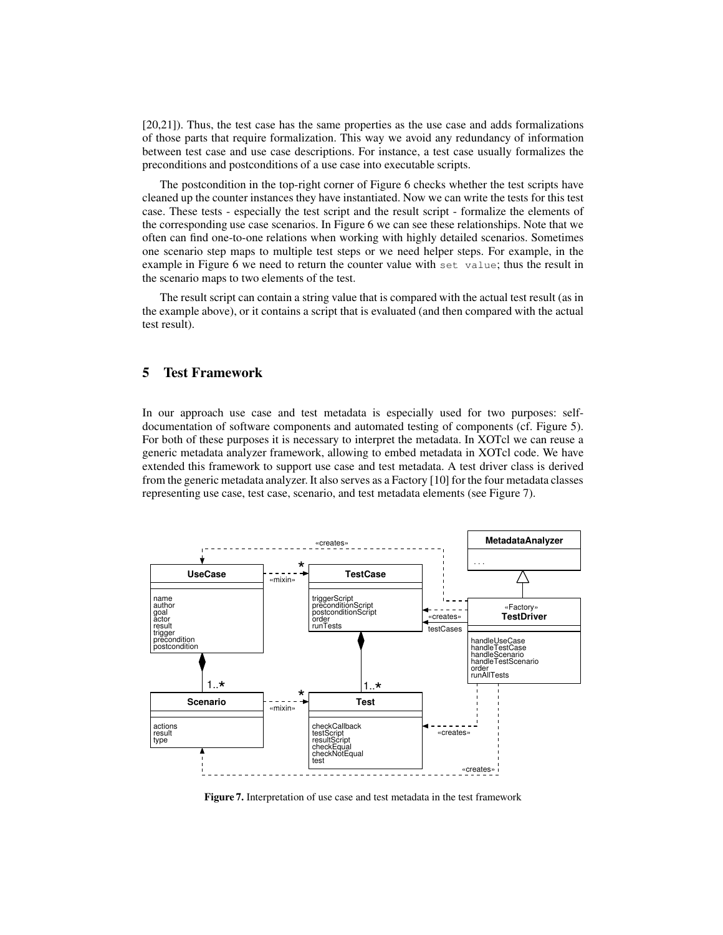[20,21]). Thus, the test case has the same properties as the use case and adds formalizations of those parts that require formalization. This way we avoid any redundancy of information between test case and use case descriptions. For instance, a test case usually formalizes the preconditions and postconditions of a use case into executable scripts.

The postcondition in the top-right corner of Figure 6 checks whether the test scripts have cleaned up the counter instances they have instantiated. Now we can write the tests for this test case. These tests - especially the test script and the result script - formalize the elements of the corresponding use case scenarios. In Figure 6 we can see these relationships. Note that we often can find one-to-one relations when working with highly detailed scenarios. Sometimes one scenario step maps to multiple test steps or we need helper steps. For example, in the example in Figure 6 we need to return the counter value with set value; thus the result in the scenario maps to two elements of the test.

The result script can contain a string value that is compared with the actual test result (as in the example above), or it contains a script that is evaluated (and then compared with the actual test result).

# **5 Test Framework**

In our approach use case and test metadata is especially used for two purposes: selfdocumentation of software components and automated testing of components (cf. Figure 5). For both of these purposes it is necessary to interpret the metadata. In XOTcl we can reuse a generic metadata analyzer framework, allowing to embed metadata in XOTcl code. We have extended this framework to support use case and test metadata. A test driver class is derived from the generic metadata analyzer. It also serves as a Factory [10] for the four metadata classes representing use case, test case, scenario, and test metadata elements (see Figure 7).



**Figure 7.** Interpretation of use case and test metadata in the test framework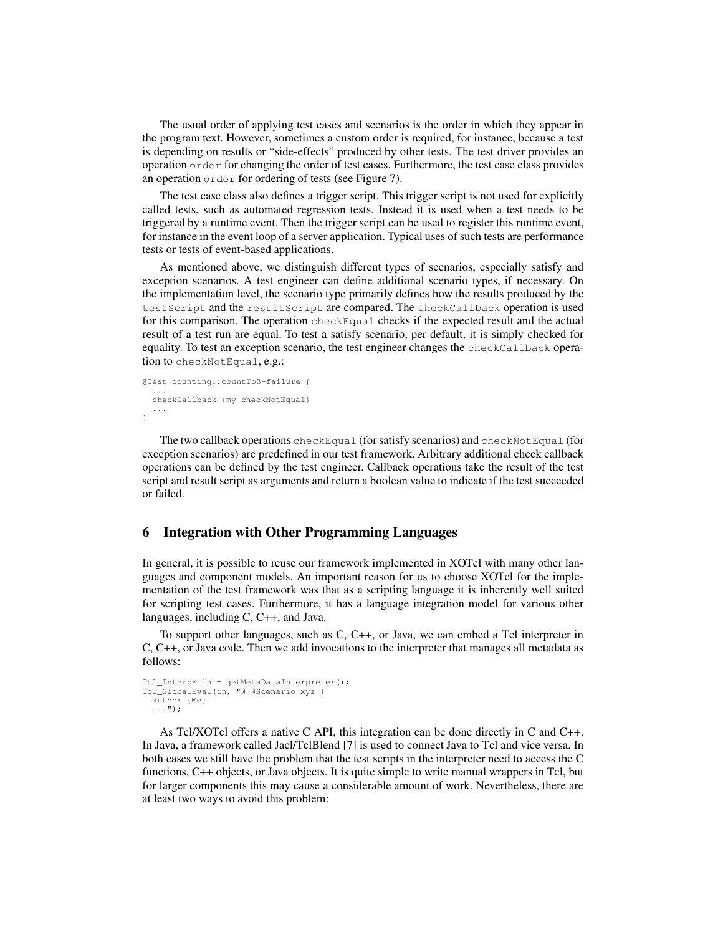The usual order of applying test cases and scenarios is the order in which they appear in the program text. However, sometimes a custom order is required, for instance, because a test is depending on results or "side-effects" produced by other tests. The test driver provides an operation order for changing the order of test cases. Furthermore, the test case class provides an operation order for ordering of tests (see Figure 7).

The test case class also defines a trigger script. This trigger script is not used for explicitly called tests, such as automated regression tests. Instead it is used when a test needs to be triggered by a runtime event. Then the trigger script can be used to register this runtime event, for instance in the event loop of a server application. Typical uses of such tests are performance tests or tests of event-based applications.

As mentioned above, we distinguish different types of scenarios, especially satisfy and exception scenarios. A test engineer can define additional scenario types, if necessary. On the implementation level, the scenario type primarily defines how the results produced by the testScript and the resultScript are compared. The checkCallback operation is used for this comparison. The operation checkEqual checks if the expected result and the actual result of a test run are equal. To test a satisfy scenario, per default, it is simply checked for equality. To test an exception scenario, the test engineer changes the checkCallback operation to checkNotEqual, e.g.:

```
@Test counting::countTo3-failure {
  ...
checkCallback {my checkNotEqual}
  ...
}
```
The two callback operations checkEqual (forsatisfy scenarios) and checkNotEqual (for exception scenarios) are predefined in our test framework. Arbitrary additional check callback operations can be defined by the test engineer. Callback operations take the result of the test script and result script as arguments and return a boolean value to indicate if the test succeeded or failed.

### **6 Integration with Other Programming Languages**

In general, it is possible to reuse our framework implemented in XOTcl with many other languages and component models. An important reason for us to choose XOTcl for the implementation of the test framework was that as a scripting language it is inherently well suited for scripting test cases. Furthermore, it has a language integration model for various other languages, including C, C++, and Java.

To support other languages, such as C, C++, or Java, we can embed a Tcl interpreter in C, C++, or Java code. Then we add invocations to the interpreter that manages all metadata as follows:

```
Tcl_Interp* in = getMetaDataInterpreter();
Tcl_GlobalEval(in, "@ @Scenario xyz {
  author {Me}
  ...");
```
As Tcl/XOTcl offers a native C API, this integration can be done directly in C and C++. In Java, a framework called Jacl/TclBlend [7] is used to connect Java to Tcl and vice versa. In both cases we still have the problem that the test scripts in the interpreter need to access the C functions, C++ objects, or Java objects. It is quite simple to write manual wrappers in Tcl, but for larger components this may cause a considerable amount of work. Nevertheless, there are at least two ways to avoid this problem: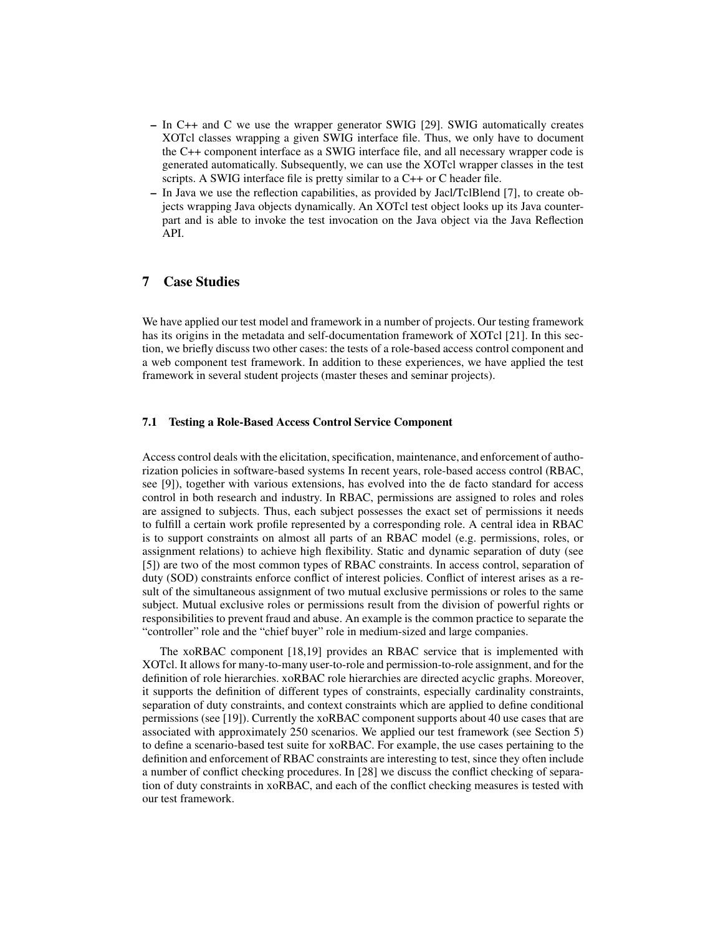- **–** In C++ and C we use the wrapper generator SWIG [29]. SWIG automatically creates XOTcl classes wrapping a given SWIG interface file. Thus, we only have to document the C++ component interface as a SWIG interface file, and all necessary wrapper code is generated automatically. Subsequently, we can use the XOTcl wrapper classes in the test scripts. A SWIG interface file is pretty similar to a C++ or C header file.
- **–** In Java we use the reflection capabilities, as provided by Jacl/TclBlend [7], to create objects wrapping Java objects dynamically. An XOTcl test object looks up its Java counterpart and is able to invoke the test invocation on the Java object via the Java Reflection API.

# **7 Case Studies**

We have applied our test model and framework in a number of projects. Our testing framework has its origins in the metadata and self-documentation framework of XOTcl [21]. In this section, we briefly discuss two other cases: the tests of a role-based access control component and a web component test framework. In addition to these experiences, we have applied the test framework in several student projects (master theses and seminar projects).

#### **7.1 Testing a Role-Based Access Control Service Component**

Access control deals with the elicitation, specification, maintenance, and enforcement of authorization policies in software-based systems In recent years, role-based access control (RBAC, see [9]), together with various extensions, has evolved into the de facto standard for access control in both research and industry. In RBAC, permissions are assigned to roles and roles are assigned to subjects. Thus, each subject possesses the exact set of permissions it needs to fulfill a certain work profile represented by a corresponding role. A central idea in RBAC is to support constraints on almost all parts of an RBAC model (e.g. permissions, roles, or assignment relations) to achieve high flexibility. Static and dynamic separation of duty (see [5]) are two of the most common types of RBAC constraints. In access control, separation of duty (SOD) constraints enforce conflict of interest policies. Conflict of interest arises as a result of the simultaneous assignment of two mutual exclusive permissions or roles to the same subject. Mutual exclusive roles or permissions result from the division of powerful rights or responsibilities to prevent fraud and abuse. An example is the common practice to separate the "controller" role and the "chief buyer" role in medium-sized and large companies.

The xoRBAC component [18,19] provides an RBAC service that is implemented with XOTcl. It allows for many-to-many user-to-role and permission-to-role assignment, and for the definition of role hierarchies. xoRBAC role hierarchies are directed acyclic graphs. Moreover, it supports the definition of different types of constraints, especially cardinality constraints, separation of duty constraints, and context constraints which are applied to define conditional permissions (see [19]). Currently the xoRBAC component supports about 40 use cases that are associated with approximately 250 scenarios. We applied our test framework (see Section 5) to define a scenario-based test suite for xoRBAC. For example, the use cases pertaining to the definition and enforcement of RBAC constraints are interesting to test, since they often include a number of conflict checking procedures. In [28] we discuss the conflict checking of separation of duty constraints in xoRBAC, and each of the conflict checking measures is tested with our test framework.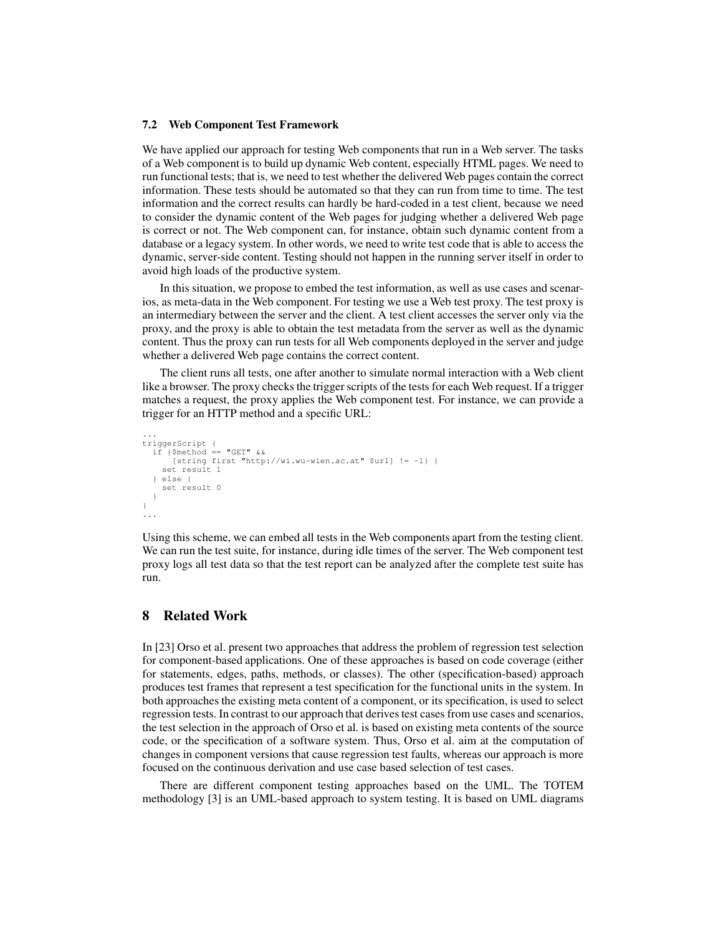#### **7.2 Web Component Test Framework**

We have applied our approach for testing Web components that run in a Web server. The tasks of a Web component is to build up dynamic Web content, especially HTML pages. We need to run functional tests; that is, we need to test whether the delivered Web pages contain the correct information. These tests should be automated so that they can run from time to time. The test information and the correct results can hardly be hard-coded in a test client, because we need to consider the dynamic content of the Web pages for judging whether a delivered Web page is correct or not. The Web component can, for instance, obtain such dynamic content from a database or a legacy system. In other words, we need to write test code that is able to access the dynamic, server-side content. Testing should not happen in the running server itself in order to avoid high loads of the productive system.

In this situation, we propose to embed the test information, as well as use cases and scenarios, as meta-data in the Web component. For testing we use a Web test proxy. The test proxy is an intermediary between the server and the client. A test client accesses the server only via the proxy, and the proxy is able to obtain the test metadata from the server as well as the dynamic content. Thus the proxy can run tests for all Web components deployed in the server and judge whether a delivered Web page contains the correct content.

The client runs all tests, one after another to simulate normal interaction with a Web client like a browser. The proxy checks the trigger scripts of the tests for each Web request. If a trigger matches a request, the proxy applies the Web component test. For instance, we can provide a trigger for an HTTP method and a specific URL:

```
...
triggerScript {
  if {$method == "GET" &b[string first "http://wi.wu-wien.ac.at" $url] != -1} {
    set result 1
  } else {
    set result 0
  }
}
...
```
Using this scheme, we can embed all tests in the Web components apart from the testing client. We can run the test suite, for instance, during idle times of the server. The Web component test proxy logs all test data so that the test report can be analyzed after the complete test suite has run.

# **8 Related Work**

In [23] Orso et al. present two approaches that address the problem of regression test selection for component-based applications. One of these approaches is based on code coverage (either for statements, edges, paths, methods, or classes). The other (specification-based) approach produces test frames that represent a test specification for the functional units in the system. In both approaches the existing meta content of a component, or its specification, is used to select regression tests. In contrast to our approach that derivestest cases from use cases and scenarios, the test selection in the approach of Orso et al. is based on existing meta contents of the source code, or the specification of a software system. Thus, Orso et al. aim at the computation of changes in component versions that cause regression test faults, whereas our approach is more focused on the continuous derivation and use case based selection of test cases.

There are different component testing approaches based on the UML. The TOTEM methodology [3] is an UML-based approach to system testing. It is based on UML diagrams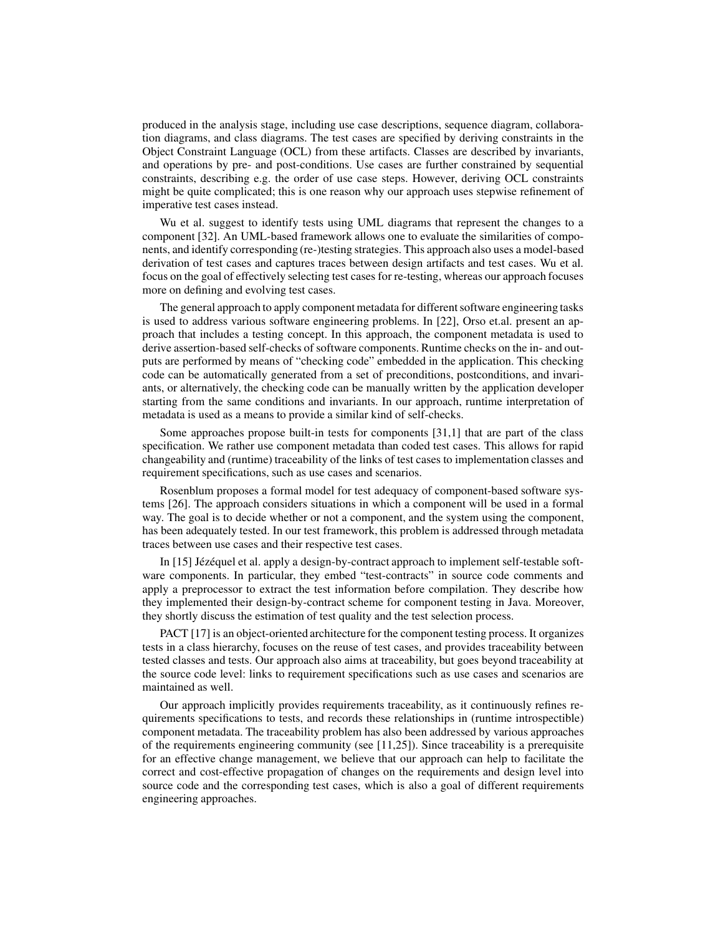produced in the analysis stage, including use case descriptions, sequence diagram, collaboration diagrams, and class diagrams. The test cases are specified by deriving constraints in the Object Constraint Language (OCL) from these artifacts. Classes are described by invariants, and operations by pre- and post-conditions. Use cases are further constrained by sequential constraints, describing e.g. the order of use case steps. However, deriving OCL constraints might be quite complicated; this is one reason why our approach uses stepwise refinement of imperative test cases instead.

Wu et al. suggest to identify tests using UML diagrams that represent the changes to a component [32]. An UML-based framework allows one to evaluate the similarities of components, and identify corresponding (re-)testing strategies. This approach also uses a model-based derivation of test cases and captures traces between design artifacts and test cases. Wu et al. focus on the goal of effectively selecting test cases for re-testing, whereas our approach focuses more on defining and evolving test cases.

The general approach to apply component metadata for different software engineering tasks is used to address various software engineering problems. In [22], Orso et.al. present an approach that includes a testing concept. In this approach, the component metadata is used to derive assertion-based self-checks of software components. Runtime checks on the in- and outputs are performed by means of "checking code" embedded in the application. This checking code can be automatically generated from a set of preconditions, postconditions, and invariants, or alternatively, the checking code can be manually written by the application developer starting from the same conditions and invariants. In our approach, runtime interpretation of metadata is used as a means to provide a similar kind of self-checks.

Some approaches propose built-in tests for components [31,1] that are part of the class specification. We rather use component metadata than coded test cases. This allows for rapid changeability and (runtime) traceability of the links of test cases to implementation classes and requirement specifications, such as use cases and scenarios.

Rosenblum proposes a formal model for test adequacy of component-based software systems [26]. The approach considers situations in which a component will be used in a formal way. The goal is to decide whether or not a component, and the system using the component, has been adequately tested. In our test framework, this problem is addressed through metadata traces between use cases and their respective test cases.

In [15] Jézéquel et al. apply a design-by-contract approach to implement self-testable software components. In particular, they embed "test-contracts" in source code comments and apply a preprocessor to extract the test information before compilation. They describe how they implemented their design-by-contract scheme for component testing in Java. Moreover, they shortly discuss the estimation of test quality and the test selection process.

PACT [17] is an object-oriented architecture for the component testing process. It organizes tests in a class hierarchy, focuses on the reuse of test cases, and provides traceability between tested classes and tests. Our approach also aims at traceability, but goes beyond traceability at the source code level: links to requirement specifications such as use cases and scenarios are maintained as well.

Our approach implicitly provides requirements traceability, as it continuously refines requirements specifications to tests, and records these relationships in (runtime introspectible) component metadata. The traceability problem has also been addressed by various approaches of the requirements engineering community (see [11,25]). Since traceability is a prerequisite for an effective change management, we believe that our approach can help to facilitate the correct and cost-effective propagation of changes on the requirements and design level into source code and the corresponding test cases, which is also a goal of different requirements engineering approaches.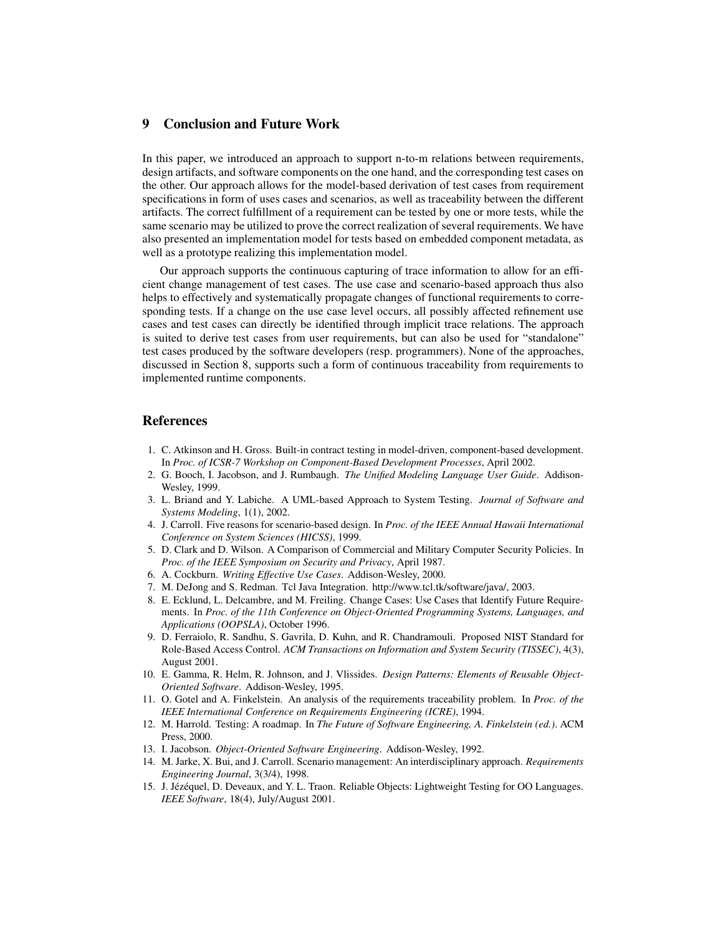# **9 Conclusion and Future Work**

In this paper, we introduced an approach to support n-to-m relations between requirements, design artifacts, and software components on the one hand, and the corresponding test cases on the other. Our approach allows for the model-based derivation of test cases from requirement specifications in form of uses cases and scenarios, as well as traceability between the different artifacts. The correct fulfillment of a requirement can be tested by one or more tests, while the same scenario may be utilized to prove the correct realization of several requirements. We have also presented an implementation model for tests based on embedded component metadata, as well as a prototype realizing this implementation model.

Our approach supports the continuous capturing of trace information to allow for an efficient change management of test cases. The use case and scenario-based approach thus also helps to effectively and systematically propagate changes of functional requirements to corresponding tests. If a change on the use case level occurs, all possibly affected refinement use cases and test cases can directly be identified through implicit trace relations. The approach is suited to derive test cases from user requirements, but can also be used for "standalone" test cases produced by the software developers (resp. programmers). None of the approaches, discussed in Section 8, supports such a form of continuous traceability from requirements to implemented runtime components.

#### **References**

- 1. C. Atkinson and H. Gross. Built-in contract testing in model-driven, component-based development. In *Proc. of ICSR-7 Workshop on Component-Based Development Processes*, April 2002.
- 2. G. Booch, I. Jacobson, and J. Rumbaugh. *The Unified Modeling Language User Guide*. Addison-Wesley, 1999.
- 3. L. Briand and Y. Labiche. A UML-based Approach to System Testing. *Journal of Software and Systems Modeling*, 1(1), 2002.
- 4. J. Carroll. Five reasons for scenario-based design. In *Proc. of the IEEE Annual Hawaii International Conference on System Sciences (HICSS)*, 1999.
- 5. D. Clark and D. Wilson. A Comparison of Commercial and Military Computer Security Policies. In *Proc. of the IEEE Symposium on Security and Privacy*, April 1987.
- 6. A. Cockburn. *Writing Effective Use Cases*. Addison-Wesley, 2000.
- 7. M. DeJong and S. Redman. Tcl Java Integration. http://www.tcl.tk/software/java/, 2003.
- 8. E. Ecklund, L. Delcambre, and M. Freiling. Change Cases: Use Cases that Identify Future Requirements. In *Proc. of the 11th Conference on Object-Oriented Programming Systems, Languages, and Applications (OOPSLA)*, October 1996.
- 9. D. Ferraiolo, R. Sandhu, S. Gavrila, D. Kuhn, and R. Chandramouli. Proposed NIST Standard for Role-Based Access Control. *ACM Transactions on Information and System Security (TISSEC)*, 4(3), August 2001.
- 10. E. Gamma, R. Helm, R. Johnson, and J. Vlissides. *Design Patterns: Elements of Reusable Object-Oriented Software*. Addison-Wesley, 1995.
- 11. O. Gotel and A. Finkelstein. An analysis of the requirements traceability problem. In *Proc. of the IEEE International Conference on Requirements Engineering (ICRE)*, 1994.
- 12. M. Harrold. Testing: A roadmap. In *The Future of Software Engineering, A. Finkelstein (ed.)*. ACM Press, 2000.
- 13. I. Jacobson. *Object-Oriented Software Engineering*. Addison-Wesley, 1992.
- 14. M. Jarke, X. Bui, and J. Carroll. Scenario management: An interdisciplinary approach. *Requirements Engineering Journal*, 3(3/4), 1998.
- 15. J. Jézéquel, D. Deveaux, and Y. L. Traon. Reliable Objects: Lightweight Testing for OO Languages. *IEEE Software*, 18(4), July/August 2001.